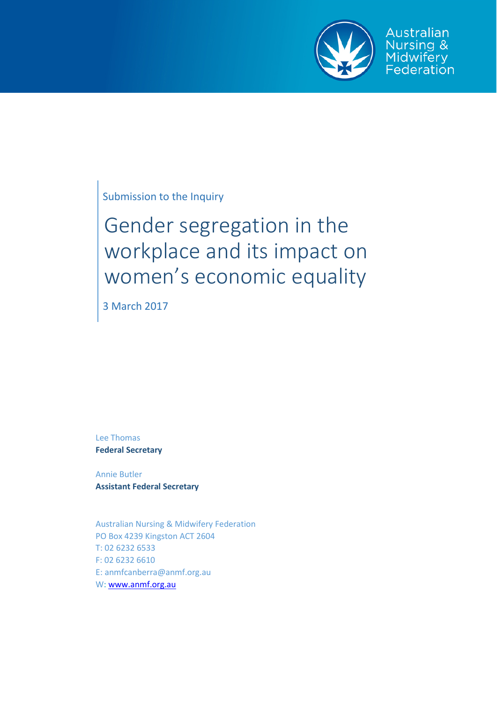

Australian Nursing & Midwifery<br>Federation

Submission to the Inquiry

# Gender segregation in the workplace and its impact on women's economic equality

3 March 2017

Lee Thomas **Federal Secretary**

Annie Butler **Assistant Federal Secretary**

Australian Nursing & Midwifery Federation PO Box 4239 Kingston ACT 2604 T: 02 6232 6533 F: 02 6232 6610 E: anmfcanberra@anmf.org.au W: [www.anmf.org.au](http://www.anmf.org.au/)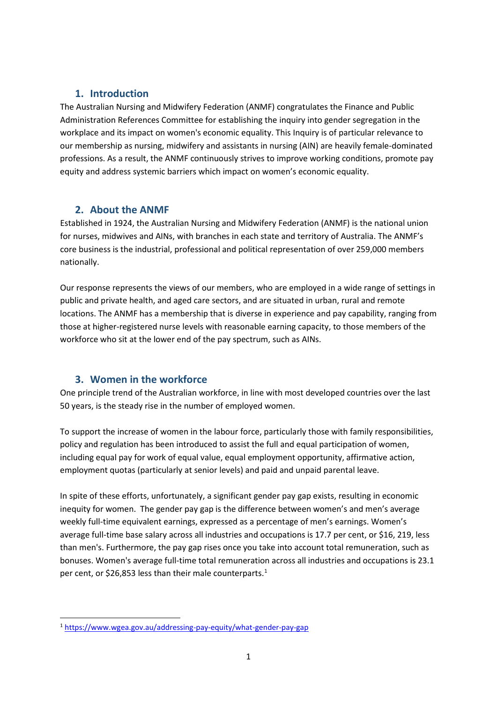# **1. Introduction**

The Australian Nursing and Midwifery Federation (ANMF) congratulates the Finance and Public Administration References Committee for establishing the inquiry into gender segregation in the workplace and its impact on women's economic equality. This Inquiry is of particular relevance to our membership as nursing, midwifery and assistants in nursing (AIN) are heavily female-dominated professions. As a result, the ANMF continuously strives to improve working conditions, promote pay equity and address systemic barriers which impact on women's economic equality.

# **2. About the ANMF**

Established in 1924, the Australian Nursing and Midwifery Federation (ANMF) is the national union for nurses, midwives and AINs, with branches in each state and territory of Australia. The ANMF's core business is the industrial, professional and political representation of over 259,000 members nationally.

Our response represents the views of our members, who are employed in a wide range of settings in public and private health, and aged care sectors, and are situated in urban, rural and remote locations. The ANMF has a membership that is diverse in experience and pay capability, ranging from those at higher-registered nurse levels with reasonable earning capacity, to those members of the workforce who sit at the lower end of the pay spectrum, such as AINs.

# **3. Women in the workforce**

One principle trend of the Australian workforce, in line with most developed countries over the last 50 years, is the steady rise in the number of employed women.

To support the increase of women in the labour force, particularly those with family responsibilities, policy and regulation has been introduced to assist the full and equal participation of women, including equal pay for work of equal value, equal employment opportunity, affirmative action, employment quotas (particularly at senior levels) and paid and unpaid parental leave.

In spite of these efforts, unfortunately, a significant gender pay gap exists, resulting in economic inequity for women. The gender pay gap is the difference between women's and men's average weekly full-time equivalent earnings, expressed as a percentage of men's earnings. Women's average full-time base salary across all industries and occupations is 17.7 per cent, or \$16, 219, less than men's. Furthermore, the pay gap rises once you take into account total remuneration, such as bonuses. Women's average full-time total remuneration across all industries and occupations is 23.1 per cent, or \$26,853 less than their male counterparts.<sup>[1](#page-1-0)</sup>

<span id="page-1-0"></span> <sup>1</sup> <https://www.wgea.gov.au/addressing-pay-equity/what-gender-pay-gap>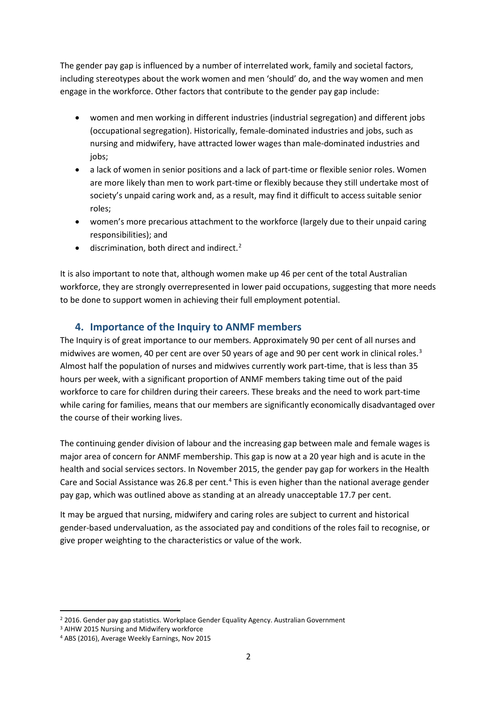The gender pay gap is influenced by a number of interrelated work, family and societal factors, including stereotypes about the work women and men 'should' do, and the way women and men engage in the workforce. Other factors that contribute to the gender pay gap include:

- women and men working in different industries (industrial segregation) and different jobs (occupational segregation). Historically, female-dominated industries and jobs, such as nursing and midwifery, have attracted lower wages than male-dominated industries and jobs;
- a lack of women in senior positions and a lack of part-time or flexible senior roles. Women are more likely than men to work part-time or flexibly because they still undertake most of society's unpaid caring work and, as a result, may find it difficult to access suitable senior roles;
- women's more precarious attachment to the workforce (largely due to their unpaid caring responsibilities); and
- discrimination, both direct and indirect.<sup>[2](#page-2-0)</sup>

It is also important to note that, although women make up 46 per cent of the total Australian workforce, they are strongly overrepresented in lower paid occupations, suggesting that more needs to be done to support women in achieving their full employment potential.

# **4. Importance of the Inquiry to ANMF members**

The Inquiry is of great importance to our members. Approximately 90 per cent of all nurses and midwives are women, 40 per cent are over 50 years of age and 90 per cent work in clinical roles.<sup>[3](#page-2-1)</sup> Almost half the population of nurses and midwives currently work part-time, that is less than 35 hours per week, with a significant proportion of ANMF members taking time out of the paid workforce to care for children during their careers. These breaks and the need to work part-time while caring for families, means that our members are significantly economically disadvantaged over the course of their working lives.

The continuing gender division of labour and the increasing gap between male and female wages is major area of concern for ANMF membership. This gap is now at a 20 year high and is acute in the health and social services sectors. In November 2015, the gender pay gap for workers in the Health Care and Social Assistance was 26.8 per cent.<sup>[4](#page-2-2)</sup> This is even higher than the national average gender pay gap, which was outlined above as standing at an already unacceptable 17.7 per cent.

It may be argued that nursing, midwifery and caring roles are subject to current and historical gender-based undervaluation, as the associated pay and conditions of the roles fail to recognise, or give proper weighting to the characteristics or value of the work.

<span id="page-2-0"></span><sup>&</sup>lt;sup>2</sup> 2016. Gender pay gap statistics. Workplace Gender Equality Agency. Australian Government

<span id="page-2-1"></span><sup>3</sup> AIHW 2015 Nursing and Midwifery workforce

<span id="page-2-2"></span><sup>4</sup> ABS (2016), Average Weekly Earnings, Nov 2015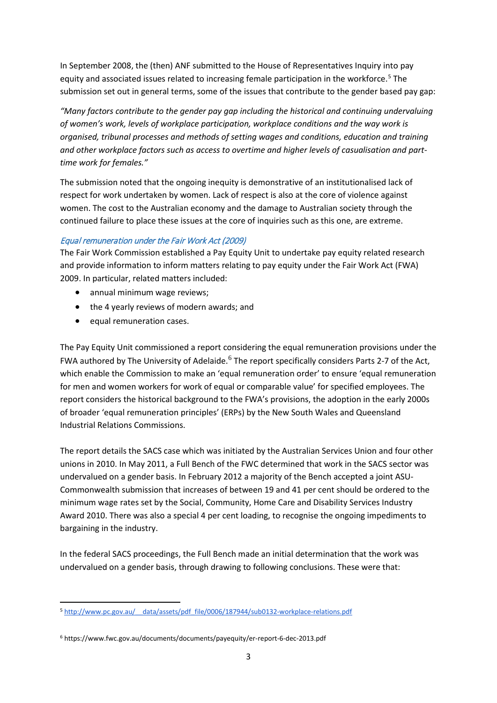In September 2008, the (then) ANF submitted to the House of Representatives Inquiry into pay equity and associated issues related to increasing female participation in the workforce.<sup>[5](#page-3-0)</sup> The submission set out in general terms, some of the issues that contribute to the gender based pay gap:

*"Many factors contribute to the gender pay gap including the historical and continuing undervaluing of women's work, levels of workplace participation, workplace conditions and the way work is organised, tribunal processes and methods of setting wages and conditions, education and training and other workplace factors such as access to overtime and higher levels of casualisation and part‐ time work for females."*

The submission noted that the ongoing inequity is demonstrative of an institutionalised lack of respect for work undertaken by women. Lack of respect is also at the core of violence against women. The cost to the Australian economy and the damage to Australian society through the continued failure to place these issues at the core of inquiries such as this one, are extreme.

### Equal remuneration under the Fair Work Act (2009)

The Fair Work Commission established a Pay Equity Unit to undertake pay equity related research and provide information to inform matters relating to pay equity under the Fair Work Act (FWA) 2009. In particular, related matters included:

- annual minimum wage reviews;
- the 4 yearly reviews of modern awards; and
- equal remuneration cases.

The Pay Equity Unit commissioned a report considering the equal remuneration provisions under the FWA authored by The University of Adelaide.<sup>[6](#page-3-1)</sup> The report specifically considers Parts 2-7 of the Act, which enable the Commission to make an 'equal remuneration order' to ensure 'equal remuneration for men and women workers for work of equal or comparable value' for specified employees. The report considers the historical background to the FWA's provisions, the adoption in the early 2000s of broader 'equal remuneration principles' (ERPs) by the New South Wales and Queensland Industrial Relations Commissions.

The report details the SACS case which was initiated by the Australian Services Union and four other unions in 2010. In May 2011, a Full Bench of the FWC determined that work in the SACS sector was undervalued on a gender basis. In February 2012 a majority of the Bench accepted a joint ASU-Commonwealth submission that increases of between 19 and 41 per cent should be ordered to the minimum wage rates set by the Social, Community, Home Care and Disability Services Industry Award 2010. There was also a special 4 per cent loading, to recognise the ongoing impediments to bargaining in the industry.

In the federal SACS proceedings, the Full Bench made an initial determination that the work was undervalued on a gender basis, through drawing to following conclusions. These were that:

<span id="page-3-0"></span> <sup>5</sup> [http://www.pc.gov.au/\\_\\_data/assets/pdf\\_file/0006/187944/sub0132-workplace-relations.pdf](http://www.pc.gov.au/__data/assets/pdf_file/0006/187944/sub0132-workplace-relations.pdf)

<span id="page-3-1"></span><sup>6</sup> https://www.fwc.gov.au/documents/documents/payequity/er-report-6-dec-2013.pdf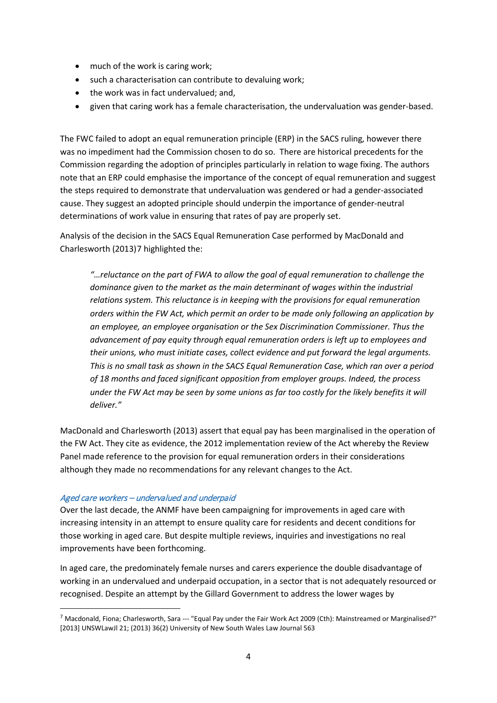- much of the work is caring work;
- such a characterisation can contribute to devaluing work;
- the work was in fact undervalued; and,
- given that caring work has a female characterisation, the undervaluation was gender-based.

The FWC failed to adopt an equal remuneration principle (ERP) in the SACS ruling, however there was no impediment had the Commission chosen to do so. There are historical precedents for the Commission regarding the adoption of principles particularly in relation to wage fixing. The authors note that an ERP could emphasise the importance of the concept of equal remuneration and suggest the steps required to demonstrate that undervaluation was gendered or had a gender-associated cause. They suggest an adopted principle should underpin the importance of gender-neutral determinations of work value in ensuring that rates of pay are properly set.

Analysis of the decision in the SACS Equal Remuneration Case performed by MacDonald and Charlesworth (2013)[7](#page-4-0) highlighted the:

*"…reluctance on the part of FWA to allow the goal of equal remuneration to challenge the dominance given to the market as the main determinant of wages within the industrial relations system. This reluctance is in keeping with the provisions for equal remuneration orders within the FW Act, which permit an order to be made only following an application by an employee, an employee organisation or the Sex Discrimination Commissioner. Thus the advancement of pay equity through equal remuneration orders is left up to employees and their unions, who must initiate cases, collect evidence and put forward the legal arguments. This is no small task as shown in the SACS Equal Remuneration Case, which ran over a period of 18 months and faced significant opposition from employer groups. Indeed, the process under the FW Act may be seen by some unions as far too costly for the likely benefits it will deliver."*

MacDonald and Charlesworth (2013) assert that equal pay has been marginalised in the operation of the FW Act. They cite as evidence, the 2012 implementation review of the Act whereby the Review Panel made reference to the provision for equal remuneration orders in their considerations although they made no recommendations for any relevant changes to the Act.

### Aged care workers – undervalued and underpaid

Over the last decade, the ANMF have been campaigning for improvements in aged care with increasing intensity in an attempt to ensure quality care for residents and decent conditions for those working in aged care. But despite multiple reviews, inquiries and investigations no real improvements have been forthcoming.

In aged care, the predominately female nurses and carers experience the double disadvantage of working in an undervalued and underpaid occupation, in a sector that is not adequately resourced or recognised. Despite an attempt by the Gillard Government to address the lower wages by

<span id="page-4-0"></span> $^7$  Macdonald, Fiona; Charlesworth, Sara --- "Equal Pay under the Fair Work Act 2009 (Cth): Mainstreamed or Marginalised?" [2013] UNSWLawJl 21; (2013) 36(2) University of New South Wales Law Journal 563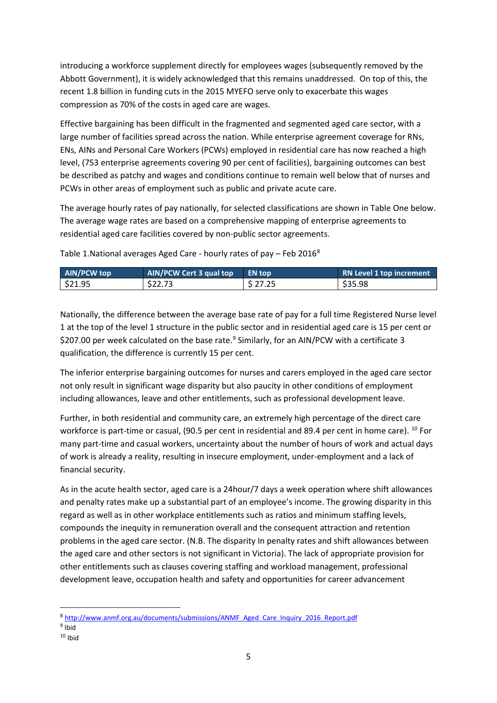introducing a workforce supplement directly for employees wages (subsequently removed by the Abbott Government), it is widely acknowledged that this remains unaddressed. On top of this, the recent 1.8 billion in funding cuts in the 2015 MYEFO serve only to exacerbate this wages compression as 70% of the costs in aged care are wages.

Effective bargaining has been difficult in the fragmented and segmented aged care sector, with a large number of facilities spread across the nation. While enterprise agreement coverage for RNs, ENs, AINs and Personal Care Workers (PCWs) employed in residential care has now reached a high level, (753 enterprise agreements covering 90 per cent of facilities), bargaining outcomes can best be described as patchy and wages and conditions continue to remain well below that of nurses and PCWs in other areas of employment such as public and private acute care.

The average hourly rates of pay nationally, for selected classifications are shown in Table One below. The average wage rates are based on a comprehensive mapping of enterprise agreements to residential aged care facilities covered by non-public sector agreements.

Table 1.National averages Aged Care - hourly rates of pay – Feb 2016[8](#page-5-0)

| <b>AIN/PCW top</b> | AIN/PCW Cert 3 qual top | <b>EN top</b> | <b>RN Level 1 top increment</b> |
|--------------------|-------------------------|---------------|---------------------------------|
| \$21.95            | \$22.73                 | \$27.25       | \$35.98                         |

Nationally, the difference between the average base rate of pay for a full time Registered Nurse level 1 at the top of the level 1 structure in the public sector and in residential aged care is 15 per cent or \$207.00 per week calculated on the base rate.<sup>[9](#page-5-1)</sup> Similarly, for an AIN/PCW with a certificate 3 qualification, the difference is currently 15 per cent.

The inferior enterprise bargaining outcomes for nurses and carers employed in the aged care sector not only result in significant wage disparity but also paucity in other conditions of employment including allowances, leave and other entitlements, such as professional development leave.

Further, in both residential and community care, an extremely high percentage of the direct care workforce is part-time or casual, (90.5 per cent in residential and 89.4 per cent in home care). <sup>[10](#page-5-2)</sup> For many part-time and casual workers, uncertainty about the number of hours of work and actual days of work is already a reality, resulting in insecure employment, under-employment and a lack of financial security.

As in the acute health sector, aged care is a 24hour/7 days a week operation where shift allowances and penalty rates make up a substantial part of an employee's income. The growing disparity in this regard as well as in other workplace entitlements such as ratios and minimum staffing levels, compounds the inequity in remuneration overall and the consequent attraction and retention problems in the aged care sector. (N.B. The disparity In penalty rates and shift allowances between the aged care and other sectors is not significant in Victoria). The lack of appropriate provision for other entitlements such as clauses covering staffing and workload management, professional development leave, occupation health and safety and opportunities for career advancement

<span id="page-5-1"></span><span id="page-5-0"></span> 8 [http://www.anmf.org.au/documents/submissions/ANMF\\_Aged\\_Care\\_Inquiry\\_2016\\_Report.pdf](http://www.anmf.org.au/documents/submissions/ANMF_Aged_Care_Inquiry_2016_Report.pdf) <sup>9</sup> Ibid

<span id="page-5-2"></span> $10$  Ibid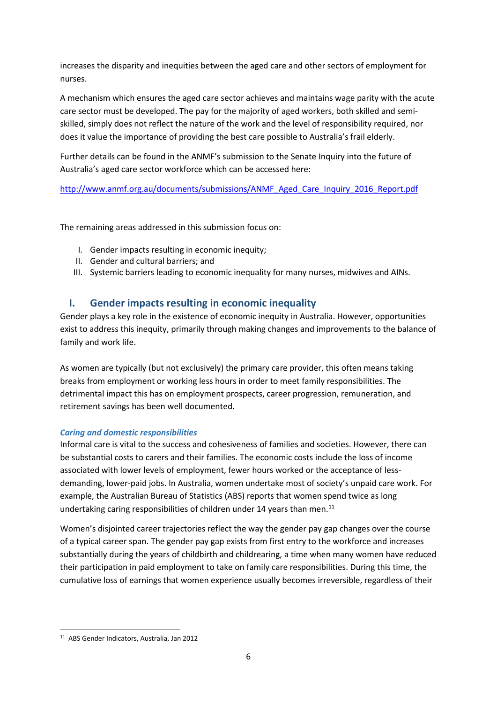increases the disparity and inequities between the aged care and other sectors of employment for nurses.

A mechanism which ensures the aged care sector achieves and maintains wage parity with the acute care sector must be developed. The pay for the majority of aged workers, both skilled and semiskilled, simply does not reflect the nature of the work and the level of responsibility required, nor does it value the importance of providing the best care possible to Australia's frail elderly.

Further details can be found in the ANMF's submission to the Senate Inquiry into the future of Australia's aged care sector workforce which can be accessed here:

[http://www.anmf.org.au/documents/submissions/ANMF\\_Aged\\_Care\\_Inquiry\\_2016\\_Report.pdf](http://www.anmf.org.au/documents/submissions/ANMF_Aged_Care_Inquiry_2016_Report.pdf)

The remaining areas addressed in this submission focus on:

- I. Gender impacts resulting in economic inequity;
- II. Gender and cultural barriers; and
- III. Systemic barriers leading to economic inequality for many nurses, midwives and AINs.

# **I. Gender impacts resulting in economic inequality**

Gender plays a key role in the existence of economic inequity in Australia. However, opportunities exist to address this inequity, primarily through making changes and improvements to the balance of family and work life.

As women are typically (but not exclusively) the primary care provider, this often means taking breaks from employment or working less hours in order to meet family responsibilities. The detrimental impact this has on employment prospects, career progression, remuneration, and retirement savings has been well documented.

### *Caring and domestic responsibilities*

Informal care is vital to the success and cohesiveness of families and societies. However, there can be substantial costs to carers and their families. The economic costs include the loss of income associated with lower levels of employment, fewer hours worked or the acceptance of lessdemanding, lower-paid jobs. In Australia, women undertake most of society's unpaid care work. For example, the Australian Bureau of Statistics (ABS) reports that women spend twice as long undertaking caring responsibilities of children under 14 years than men.<sup>[11](#page-6-0)</sup>

Women's disjointed career trajectories reflect the way the gender pay gap changes over the course of a typical career span. The gender pay gap exists from first entry to the workforce and increases substantially during the years of childbirth and childrearing, a time when many women have reduced their participation in paid employment to take on family care responsibilities. During this time, the cumulative loss of earnings that women experience usually becomes irreversible, regardless of their

<span id="page-6-0"></span> <sup>11</sup> ABS Gender Indicators, Australia, Jan 2012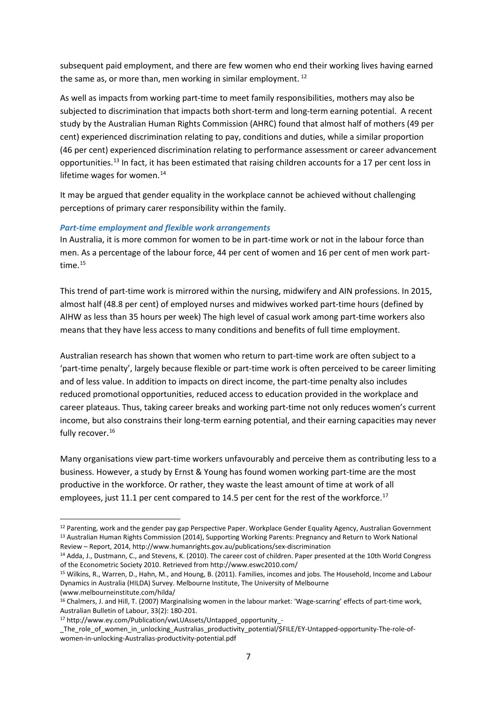subsequent paid employment, and there are few women who end their working lives having earned the same as, or more than, men working in similar employment.  $12$ 

As well as impacts from working part-time to meet family responsibilities, mothers may also be subjected to discrimination that impacts both short-term and long-term earning potential. A recent study by the Australian Human Rights Commission (AHRC) found that almost half of mothers (49 per cent) experienced discrimination relating to pay, conditions and duties, while a similar proportion (46 per cent) experienced discrimination relating to performance assessment or career advancement opportunities.[13](#page-7-1) In fact, it has been estimated that raising children accounts for a 17 per cent loss in lifetime wages for women.<sup>[14](#page-7-2)</sup>

It may be argued that gender equality in the workplace cannot be achieved without challenging perceptions of primary carer responsibility within the family.

### *Part-time employment and flexible work arrangements*

In Australia, it is more common for women to be in part-time work or not in the labour force than men. As a percentage of the labour force, 44 per cent of women and 16 per cent of men work parttime.[15](#page-7-3) 

This trend of part-time work is mirrored within the nursing, midwifery and AIN professions. In 2015, almost half (48.8 per cent) of employed nurses and midwives worked part-time hours (defined by AIHW as less than 35 hours per week) The high level of casual work among part-time workers also means that they have less access to many conditions and benefits of full time employment.

Australian research has shown that women who return to part-time work are often subject to a 'part-time penalty', largely because flexible or part-time work is often perceived to be career limiting and of less value. In addition to impacts on direct income, the part-time penalty also includes reduced promotional opportunities, reduced access to education provided in the workplace and career plateaus. Thus, taking career breaks and working part-time not only reduces women's current income, but also constrains their long-term earning potential, and their earning capacities may never fully recover.<sup>[16](#page-7-4)</sup>

Many organisations view part-time workers unfavourably and perceive them as contributing less to a business. However, a study by Ernst & Young has found women working part-time are the most productive in the workforce. Or rather, they waste the least amount of time at work of all employees, just 11.1 per cent compared to 14.5 per cent for the rest of the workforce.<sup>17</sup>

<span id="page-7-1"></span><span id="page-7-0"></span><sup>&</sup>lt;sup>12</sup> Parenting, work and the gender pay gap Perspective Paper. Workplace Gender Equality Agency, Australian Government <sup>13</sup> Australian Human Rights Commission (2014), Supporting Working Parents: Pregnancy and Return to Work National Review – Report, 2014, http://www.humanrights.gov.au/publications/sex-discrimination

<span id="page-7-2"></span><sup>14</sup> Adda, J., Dustmann, C., and Stevens, K. (2010). The career cost of children. Paper presented at the 10th World Congress of the Econometric Society 2010. Retrieved from http://www.eswc2010.com/

<span id="page-7-3"></span><sup>15</sup> Wilkins, R., Warren, D., Hahn, M., and Houng, B. (2011). Families, incomes and jobs. The Household, Income and Labour Dynamics in Australia (HILDA) Survey. Melbourne Institute, The University of Melbourne (www.melbourneinstitute.com/hilda/

<span id="page-7-4"></span><sup>16</sup> Chalmers, J. and Hill, T. (2007) Marginalising women in the labour market: 'Wage-scarring' effects of part-time work, Australian Bulletin of Labour, 33(2): 180-201.

<span id="page-7-5"></span><sup>17</sup> http://www.ey.com/Publication/vwLUAssets/Untapped\_opportunity\_-

The role of women in unlocking Australias productivity potential/\$FILE/EY-Untapped-opportunity-The-role-ofwomen-in-unlocking-Australias-productivity-potential.pdf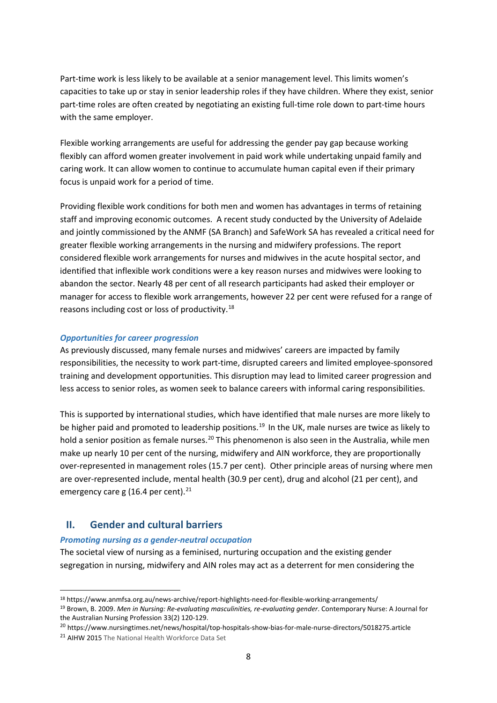Part-time work is less likely to be available at a senior management level. This limits women's capacities to take up or stay in senior leadership roles if they have children. Where they exist, senior part-time roles are often created by negotiating an existing full-time role down to part-time hours with the same employer.

Flexible working arrangements are useful for addressing the gender pay gap because working flexibly can afford women greater involvement in paid work while undertaking unpaid family and caring work. It can allow women to continue to accumulate human capital even if their primary focus is unpaid work for a period of time.

Providing flexible work conditions for both men and women has advantages in terms of retaining staff and improving economic outcomes. A recent study conducted by the University of Adelaide and jointly commissioned by the ANMF (SA Branch) and SafeWork SA has revealed a critical need for greater flexible working arrangements in the nursing and midwifery professions. The report considered flexible work arrangements for nurses and midwives in the acute hospital sector, and identified that inflexible work conditions were a key reason nurses and midwives were looking to abandon the sector. Nearly 48 per cent of all research participants had asked their employer or manager for access to flexible work arrangements, however 22 per cent were refused for a range of reasons including cost or loss of productivity.[18](#page-8-0)

### *Opportunities for career progression*

As previously discussed, many female nurses and midwives' careers are impacted by family responsibilities, the necessity to work part-time, disrupted careers and limited employee-sponsored training and development opportunities. This disruption may lead to limited career progression and less access to senior roles, as women seek to balance careers with informal caring responsibilities.

This is supported by international studies, which have identified that male nurses are more likely to be higher paid and promoted to leadership positions.<sup>[19](#page-8-1)</sup> In the UK, male nurses are twice as likely to hold a senior position as female nurses.<sup>[20](#page-8-2)</sup> This phenomenon is also seen in the Australia, while men make up nearly 10 per cent of the nursing, midwifery and AIN workforce, they are proportionally over-represented in management roles (15.7 per cent). Other principle areas of nursing where men are over-represented include, mental health (30.9 per cent), drug and alcohol (21 per cent), and emergency care g (16.4 per cent). $^{21}$  $^{21}$  $^{21}$ 

### **II. Gender and cultural barriers**

#### *Promoting nursing as a gender-neutral occupation*

The societal view of nursing as a feminised, nurturing occupation and the existing gender segregation in nursing, midwifery and AIN roles may act as a deterrent for men considering the

<span id="page-8-0"></span> <sup>18</sup> https://www.anmfsa.org.au/news-archive/report-highlights-need-for-flexible-working-arrangements/

<span id="page-8-1"></span><sup>19</sup> Brown, B. 2009. *Men in Nursing: Re-evaluating masculinities, re-evaluating gender*. Contemporary Nurse: A Journal for the Australian Nursing Profession 33(2) 120-129.

<span id="page-8-2"></span><sup>20</sup> https://www.nursingtimes.net/news/hospital/top-hospitals-show-bias-for-male-nurse-directors/5018275.article

<span id="page-8-3"></span><sup>21</sup> AIHW 2015 The National Health Workforce Data Set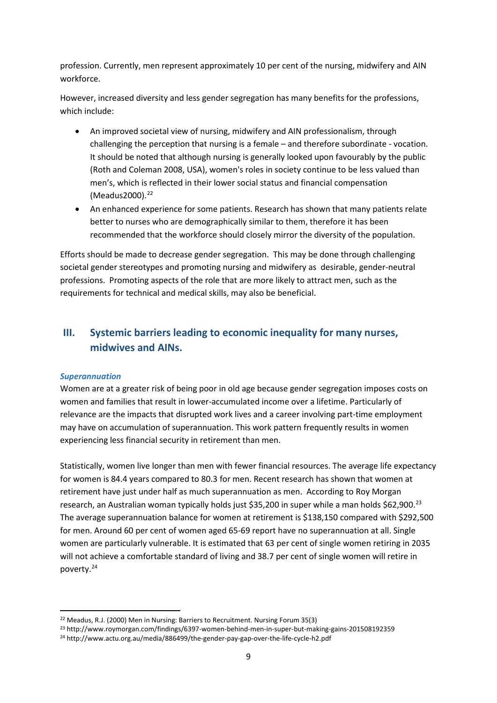profession. Currently, men represent approximately 10 per cent of the nursing, midwifery and AIN workforce.

However, increased diversity and less gender segregation has many benefits for the professions, which include:

- An improved societal view of nursing, midwifery and AIN professionalism, through challenging the perception that nursing is a female – and therefore subordinate - vocation. It should be noted that although nursing is generally looked upon favourably by the public (Roth and Coleman 2008, USA), women's roles in society continue to be less valued than men's, which is reflected in their lower social status and financial compensation (Meadus2000). [22](#page-9-0)
- An enhanced experience for some patients. Research has shown that many patients relate better to nurses who are demographically similar to them, therefore it has been recommended that the workforce should closely mirror the diversity of the population.

Efforts should be made to decrease gender segregation. This may be done through challenging societal gender stereotypes and promoting nursing and midwifery as desirable, gender-neutral professions. Promoting aspects of the role that are more likely to attract men, such as the requirements for technical and medical skills, may also be beneficial.

# **III. Systemic barriers leading to economic inequality for many nurses, midwives and AINs.**

### *Superannuation*

Women are at a greater risk of being poor in old age because gender segregation imposes costs on women and families that result in lower-accumulated income over a lifetime. Particularly of relevance are the impacts that disrupted work lives and a career involving part-time employment may have on accumulation of superannuation. This work pattern frequently results in women experiencing less financial security in retirement than men.

Statistically, women live longer than men with fewer financial resources. The average life expectancy for women is 84.4 years compared to 80.3 for men. Recent research has shown that women at retirement have just under half as much superannuation as men. According to Roy Morgan research, an Australian woman typicall[y holds just \\$35,200 in super](http://www.roymorgan.com/findings/6397-women-behind-men-in-super-but-making-gains-201508192359) while a man holds \$62,900.<sup>[23](#page-9-1)</sup> The average superannuation balance for women at retirement is \$138,150 compared with \$292,500 for men. Around 60 per cent of women aged 65-69 report have no superannuation at all. Single women are particularly vulnerable. It is estimated that 63 per cent of single women retiring in 2035 will not achieve a comfortable standard of living and 38.7 per cent of single women will retire in poverty.[24](#page-9-2)

<span id="page-9-0"></span> <sup>22</sup> Meadus, R.J. (2000) Men in Nursing: Barriers to Recruitment. Nursing Forum 35(3)

<span id="page-9-1"></span><sup>23</sup> http://www.roymorgan.com/findings/6397-women-behind-men-in-super-but-making-gains-201508192359

<span id="page-9-2"></span><sup>24</sup> http://www.actu.org.au/media/886499/the-gender-pay-gap-over-the-life-cycle-h2.pdf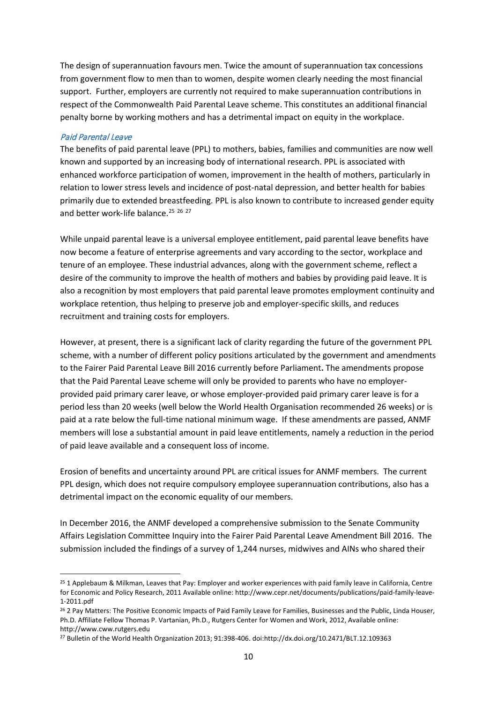The design of superannuation favours men. Twice the amount of superannuation tax concessions from government flow to men than to women, despite women clearly needing the most financial support. Further, employers are currently not required to make superannuation contributions in respect of the Commonwealth Paid Parental Leave scheme. This constitutes an additional financial penalty borne by working mothers and has a detrimental impact on equity in the workplace.

### Paid Parental Leave

The benefits of paid parental leave (PPL) to mothers, babies, families and communities are now well known and supported by an increasing body of international research. PPL is associated with enhanced workforce participation of women, improvement in the health of mothers, particularly in relation to lower stress levels and incidence of post-natal depression, and better health for babies primarily due to extended breastfeeding. PPL is also known to contribute to increased gender equity and better work-life balance.<sup>[25](#page-10-0)</sup> <sup>[26](#page-10-1)</sup> <sup>[27](#page-10-2)</sup>

While unpaid parental leave is a universal employee entitlement, paid parental leave benefits have now become a feature of enterprise agreements and vary according to the sector, workplace and tenure of an employee. These industrial advances, along with the government scheme, reflect a desire of the community to improve the health of mothers and babies by providing paid leave. It is also a recognition by most employers that paid parental leave promotes employment continuity and workplace retention, thus helping to preserve job and employer-specific skills, and reduces recruitment and training costs for employers.

However, at present, there is a significant lack of clarity regarding the future of the government PPL scheme, with a number of different policy positions articulated by the government and amendments to the Fairer Paid Parental Leave Bill 2016 currently before Parliament**.** The amendments propose that the Paid Parental Leave scheme will only be provided to parents who have no employerprovided paid primary carer leave, or whose employer-provided paid primary carer leave is for a period less than 20 weeks (well below the World Health Organisation recommended 26 weeks) or is paid at a rate below the full-time national minimum wage. If these amendments are passed, ANMF members will lose a substantial amount in paid leave entitlements, namely a reduction in the period of paid leave available and a consequent loss of income.

Erosion of benefits and uncertainty around PPL are critical issues for ANMF members. The current PPL design, which does not require compulsory employee superannuation contributions, also has a detrimental impact on the economic equality of our members.

In December 2016, the ANMF developed a comprehensive submission to the Senate Community Affairs Legislation Committee Inquiry into the Fairer Paid Parental Leave Amendment Bill 2016. The submission included the findings of a survey of 1,244 nurses, midwives and AINs who shared their

<span id="page-10-0"></span><sup>&</sup>lt;sup>25</sup> 1 Applebaum & Milkman, Leaves that Pay: Employer and worker experiences with paid family leave in California, Centre for Economic and Policy Research, 2011 Available online: http://www.cepr.net/documents/publications/paid-family-leave-1-2011.pdf

<span id="page-10-1"></span><sup>&</sup>lt;sup>26</sup> 2 Pay Matters: The Positive Economic Impacts of Paid Family Leave for Families, Businesses and the Public, Linda Houser, Ph.D. Affiliate Fellow Thomas P. Vartanian, Ph.D., Rutgers Center for Women and Work, 2012, Available online: http://www.cww.rutgers.edu

<span id="page-10-2"></span><sup>27</sup> Bulletin of the World Health Organization 2013; 91:398-406. doi:http://dx.doi.org/10.2471/BLT.12.109363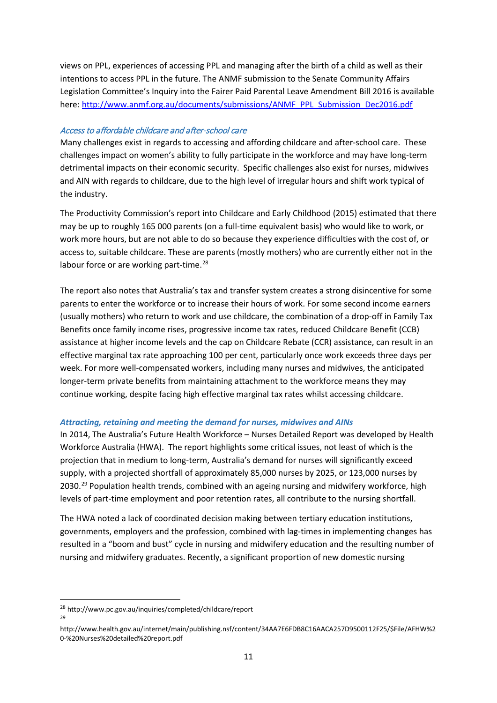views on PPL, experiences of accessing PPL and managing after the birth of a child as well as their intentions to access PPL in the future. The ANMF submission to the Senate Community Affairs Legislation Committee's Inquiry into the Fairer Paid Parental Leave Amendment Bill 2016 is available here: [http://www.anmf.org.au/documents/submissions/ANMF\\_PPL\\_Submission\\_Dec2016.pdf](http://www.anmf.org.au/documents/submissions/ANMF_PPL_Submission_Dec2016.pdf)

### Access to affordable childcare and after-school care

Many challenges exist in regards to accessing and affording childcare and after-school care. These challenges impact on women's ability to fully participate in the workforce and may have long-term detrimental impacts on their economic security. Specific challenges also exist for nurses, midwives and AIN with regards to childcare, due to the high level of irregular hours and shift work typical of the industry.

The Productivity Commission's report into Childcare and Early Childhood (2015) estimated that there may be up to roughly 165 000 parents (on a full-time equivalent basis) who would like to work, or work more hours, but are not able to do so because they experience difficulties with the cost of, or access to, suitable childcare. These are parents (mostly mothers) who are currently either not in the labour force or are working part-time.<sup>[28](#page-11-0)</sup>

The report also notes that Australia's tax and transfer system creates a strong disincentive for some parents to enter the workforce or to increase their hours of work. For some second income earners (usually mothers) who return to work and use childcare, the combination of a drop-off in Family Tax Benefits once family income rises, progressive income tax rates, reduced Childcare Benefit (CCB) assistance at higher income levels and the cap on Childcare Rebate (CCR) assistance, can result in an effective marginal tax rate approaching 100 per cent, particularly once work exceeds three days per week. For more well-compensated workers, including many nurses and midwives, the anticipated longer-term private benefits from maintaining attachment to the workforce means they may continue working, despite facing high effective marginal tax rates whilst accessing childcare.

#### *Attracting, retaining and meeting the demand for nurses, midwives and AINs*

In 2014, The Australia's Future Health Workforce – Nurses Detailed Report was developed by Health Workforce Australia (HWA). The report highlights some critical issues, not least of which is the projection that in medium to long-term, Australia's demand for nurses will significantly exceed supply, with a projected shortfall of approximately 85,000 nurses by 2025, or 123,000 nurses by 2030.<sup>[29](#page-11-1)</sup> Population health trends, combined with an ageing nursing and midwifery workforce, high levels of part-time employment and poor retention rates, all contribute to the nursing shortfall.

The HWA noted a lack of coordinated decision making between tertiary education institutions, governments, employers and the profession, combined with lag-times in implementing changes has resulted in a "boom and bust" cycle in nursing and midwifery education and the resulting number of nursing and midwifery graduates. Recently, a significant proportion of new domestic nursing

<span id="page-11-0"></span> <sup>28</sup> http://www.pc.gov.au/inquiries/completed/childcare/report  $29$ 

<span id="page-11-1"></span>http://www.health.gov.au/internet/main/publishing.nsf/content/34AA7E6FDB8C16AACA257D9500112F25/\$File/AFHW%2 0-%20Nurses%20detailed%20report.pdf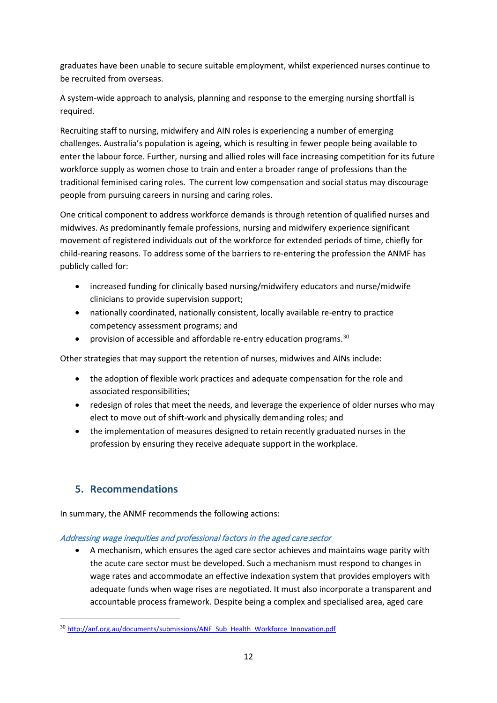graduates have been unable to secure suitable employment, whilst experienced nurses continue to be recruited from overseas.

A system-wide approach to analysis, planning and response to the emerging nursing shortfall is required.

Recruiting staff to nursing, midwifery and AIN roles is experiencing a number of emerging challenges. Australia's population is ageing, which is resulting in fewer people being available to enter the labour force. Further, nursing and allied roles will face increasing competition for its future workforce supply as women chose to train and enter a broader range of professions than the traditional feminised caring roles. The current low compensation and social status may discourage people from pursuing careers in nursing and caring roles.

One critical component to address workforce demands is through retention of qualified nurses and midwives. As predominantly female professions, nursing and midwifery experience significant movement of registered individuals out of the workforce for extended periods of time, chiefly for child-rearing reasons. To address some of the barriers to re-entering the profession the ANMF has publicly called for:

- increased funding for clinically based nursing/midwifery educators and nurse/midwife clinicians to provide supervision support;
- nationally coordinated, nationally consistent, locally available re-entry to practice competency assessment programs; and
- provision of accessible and affordable re-entry education programs.<sup>[30](#page-12-0)</sup>

Other strategies that may support the retention of nurses, midwives and AINs include:

- the adoption of flexible work practices and adequate compensation for the role and associated responsibilities;
- redesign of roles that meet the needs, and leverage the experience of older nurses who may elect to move out of shift-work and physically demanding roles; and
- the implementation of measures designed to retain recently graduated nurses in the profession by ensuring they receive adequate support in the workplace.

# **5. Recommendations**

In summary, the ANMF recommends the following actions:

# Addressing wage inequities and professional factors in the aged care sector

• A mechanism, which ensures the aged care sector achieves and maintains wage parity with the acute care sector must be developed. Such a mechanism must respond to changes in wage rates and accommodate an effective indexation system that provides employers with adequate funds when wage rises are negotiated. It must also incorporate a transparent and accountable process framework. Despite being a complex and specialised area, aged care

<span id="page-12-0"></span><sup>30</sup> [http://anf.org.au/documents/submissions/ANF\\_Sub\\_Health\\_Workforce\\_Innovation.pdf](http://anf.org.au/documents/submissions/ANF_Sub_Health_Workforce_Innovation.pdf)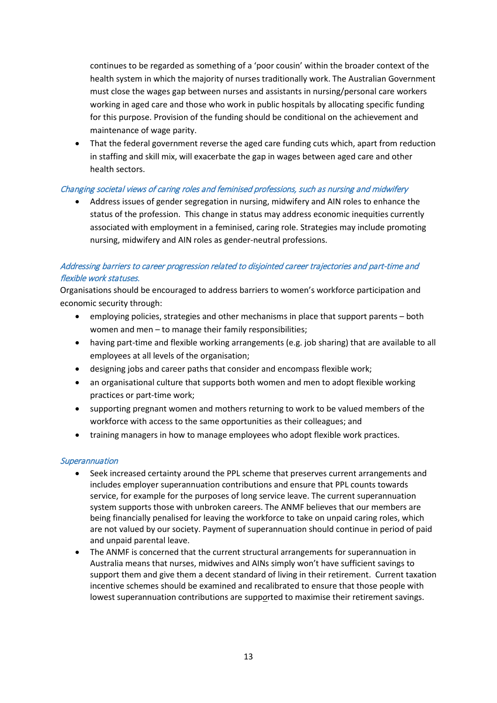continues to be regarded as something of a 'poor cousin' within the broader context of the health system in which the majority of nurses traditionally work. The Australian Government must close the wages gap between nurses and assistants in nursing/personal care workers working in aged care and those who work in public hospitals by allocating specific funding for this purpose. Provision of the funding should be conditional on the achievement and maintenance of wage parity.

• That the federal government reverse the aged care funding cuts which, apart from reduction in staffing and skill mix, will exacerbate the gap in wages between aged care and other health sectors.

### Changing societal views of caring roles and feminised professions, such as nursing and midwifery

• Address issues of gender segregation in nursing, midwifery and AIN roles to enhance the status of the profession. This change in status may address economic inequities currently associated with employment in a feminised, caring role. Strategies may include promoting nursing, midwifery and AIN roles as gender-neutral professions.

# Addressing barriers to career progression related to disjointed career trajectories and part-time and flexible work statuses.

Organisations should be encouraged to address barriers to women's workforce participation and economic security through:

- employing policies, strategies and other mechanisms in place that support parents both women and men – to manage their family responsibilities;
- having part-time and flexible working arrangements (e.g. job sharing) that are available to all employees at all levels of the organisation;
- designing jobs and career paths that consider and encompass flexible work;
- an organisational culture that supports both women and men to adopt flexible working practices or part-time work;
- supporting pregnant women and mothers returning to work to be valued members of the workforce with access to the same opportunities as their colleagues; and
- training managers in how to manage employees who adopt flexible work practices.

### **Superannuation**

- Seek increased certainty around the PPL scheme that preserves current arrangements and includes employer superannuation contributions and ensure that PPL counts towards service, for example for the purposes of long service leave. The current superannuation system supports those with unbroken careers. The ANMF believes that our members are being financially penalised for leaving the workforce to take on unpaid caring roles, which are not valued by our society. Payment of superannuation should continue in period of paid and unpaid parental leave.
- The ANMF is concerned that the current structural arrangements for superannuation in Australia means that nurses, midwives and AINs simply won't have sufficient savings to support them and give them a decent standard of living in their retirement. Current taxation incentive schemes should be examined and recalibrated to ensure that those people with lowest superannuation contributions are supp*o*rted to maximise their retirement savings.